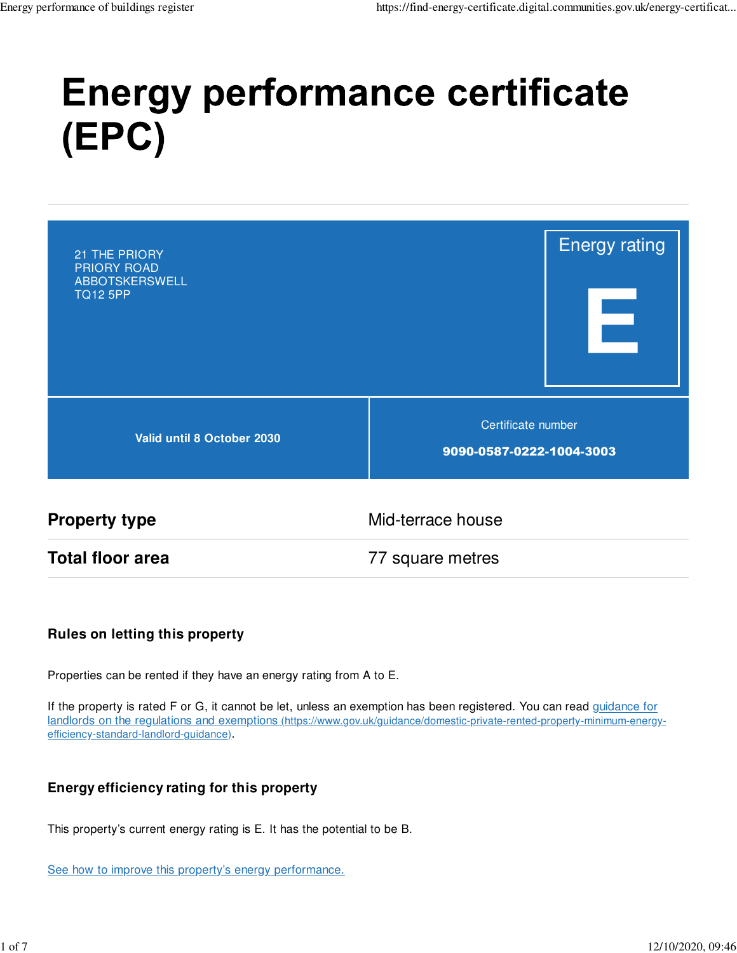# **Energy performance certificate** (EPC)

| 21 THE PRIORY<br><b>PRIORY ROAD</b><br>ABBOTSKERSWELL<br><b>TQ12 5PP</b> |                                                | <b>Energy rating</b> |
|--------------------------------------------------------------------------|------------------------------------------------|----------------------|
| Valid until 8 October 2030                                               | Certificate number<br>9090-0587-0222-1004-3003 |                      |

**Property type** Mid-terrace house **Total floor area** 77 square metres

#### **Rules on letting this property**

Properties can be rented if they have an energy rating from A to E.

If the property is rated F or G, it cannot be let, unless an exemption has been registered. You can read guidance for landlords on the regulations and exemptions (https://www.gov.uk/guidance/domestic-private-rented-property-minimum-energyefficiency-standard-landlord-guidance).

#### **Energy efficiency rating for this property**

This property's current energy rating is E. It has the potential to be B.

See how to improve this property's energy performance.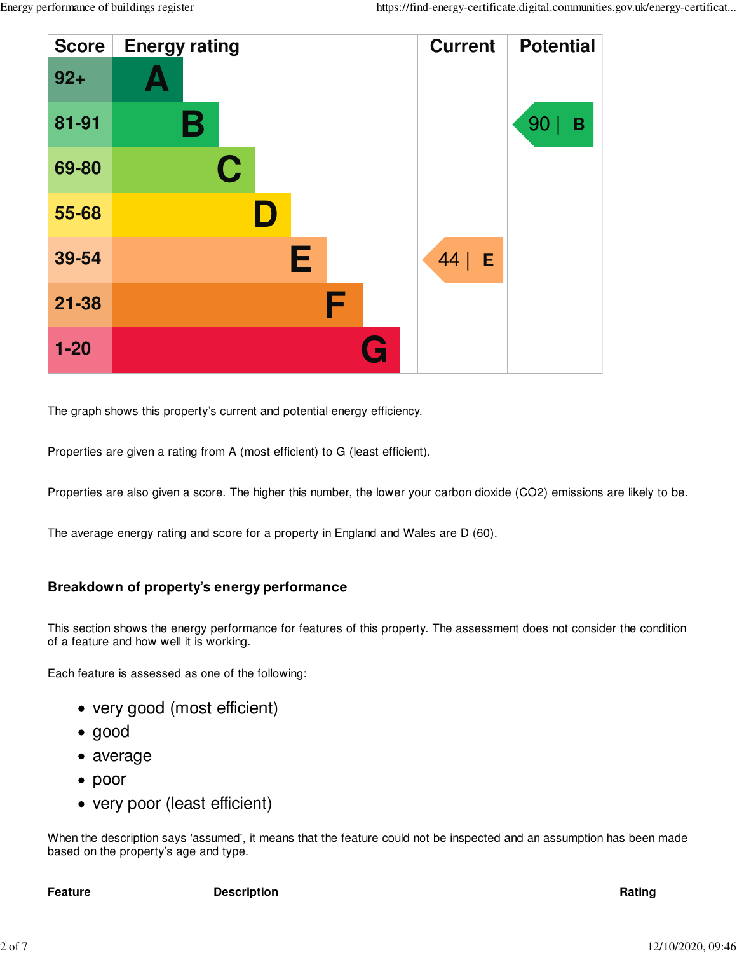

The graph shows this property's current and potential energy efficiency.

Properties are given a rating from A (most efficient) to G (least efficient).

Properties are also given a score. The higher this number, the lower your carbon dioxide (CO2) emissions are likely to be.

The average energy rating and score for a property in England and Wales are D (60).

#### **Breakdown of property's energy performance**

This section shows the energy performance for features of this property. The assessment does not consider the condition of a feature and how well it is working.

Each feature is assessed as one of the following:

- very good (most efficient)
- good
- average
- poor
- very poor (least efficient)

When the description says 'assumed', it means that the feature could not be inspected and an assumption has been made based on the property's age and type.

**Feature Description Rating**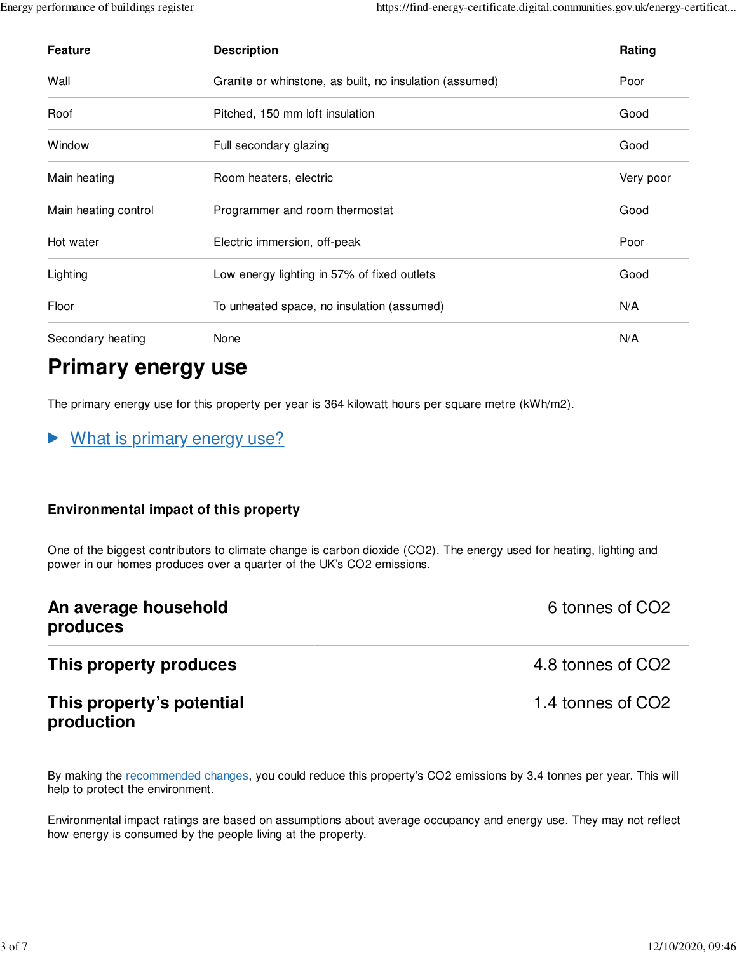| <b>Feature</b>       | <b>Description</b>                                      | Rating    |
|----------------------|---------------------------------------------------------|-----------|
| Wall                 | Granite or whinstone, as built, no insulation (assumed) | Poor      |
| Roof                 | Pitched, 150 mm loft insulation                         | Good      |
| Window               | Full secondary glazing                                  | Good      |
| Main heating         | Room heaters, electric                                  | Very poor |
| Main heating control | Programmer and room thermostat                          | Good      |
| Hot water            | Electric immersion, off-peak                            | Poor      |
| Lighting             | Low energy lighting in 57% of fixed outlets             | Good      |
| Floor                | To unheated space, no insulation (assumed)              | N/A       |
| Secondary heating    | None                                                    | N/A       |

### **Primary energy use**

The primary energy use for this property per year is 364 kilowatt hours per square metre (kWh/m2).

What is primary energy use? ▶

#### **Environmental impact of this property**

One of the biggest contributors to climate change is carbon dioxide (CO2). The energy used for heating, lighting and power in our homes produces over a quarter of the UK's CO2 emissions.

| An average household<br>produces        | 6 tonnes of CO <sub>2</sub> |
|-----------------------------------------|-----------------------------|
| This property produces                  | 4.8 tonnes of CO2           |
| This property's potential<br>production | 1.4 tonnes of CO2           |

By making the recommended changes, you could reduce this property's CO2 emissions by 3.4 tonnes per year. This will help to protect the environment.

Environmental impact ratings are based on assumptions about average occupancy and energy use. They may not reflect how energy is consumed by the people living at the property.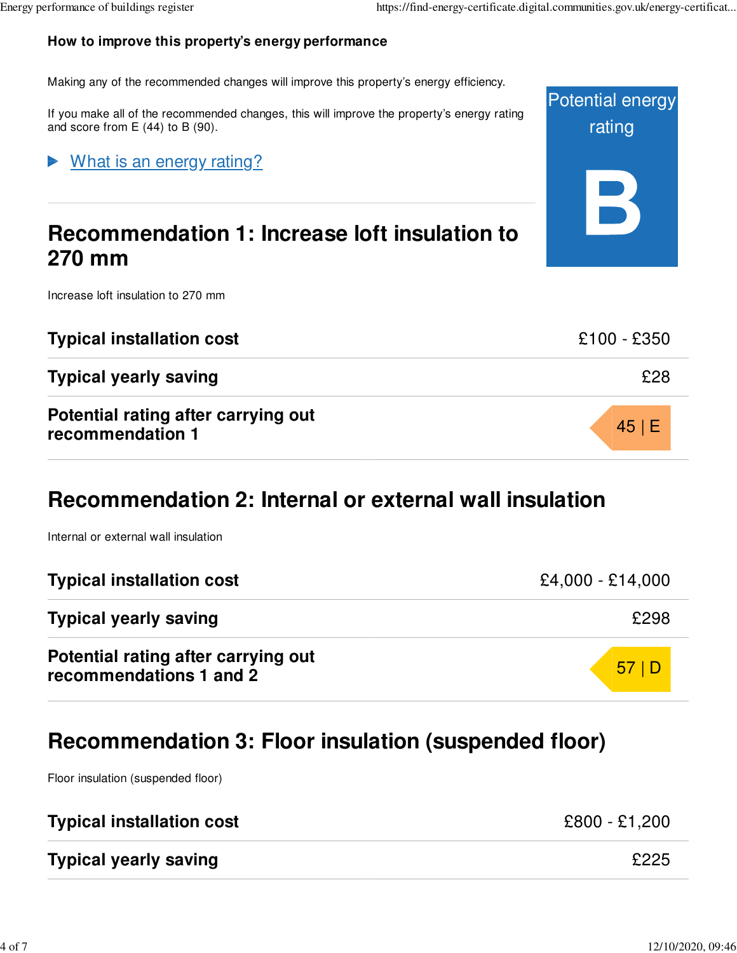Potential energy

rating

#### **How to improve this property's energy performance**

Making any of the recommended changes will improve this property's energy efficiency.

If you make all of the recommended changes, this will improve the property's energy rating and score from E (44) to B (90).

#### What is an energy rating?

### **Recommendation 1: Increase loft insulation to 270 mm**

Increase loft insulation to 270 mm

| <b>Typical installation cost</b>                        | £100 - £350 |
|---------------------------------------------------------|-------------|
| <b>Typical yearly saving</b>                            | £28         |
| Potential rating after carrying out<br>recommendation 1 | 45 E        |

### **Recommendation 2: Internal or external wall insulation**

Internal or external wall insulation

| <b>Typical installation cost</b>                               | $£4,000 - £14,000$ |
|----------------------------------------------------------------|--------------------|
| <b>Typical yearly saving</b>                                   | £298               |
| Potential rating after carrying out<br>recommendations 1 and 2 | 57 D               |

### **Recommendation 3: Floor insulation (suspended floor)**

Floor insulation (suspended floor)

| <b>Typical installation cost</b> | £800 - £1,200 |
|----------------------------------|---------------|
| <b>Typical yearly saving</b>     | £225          |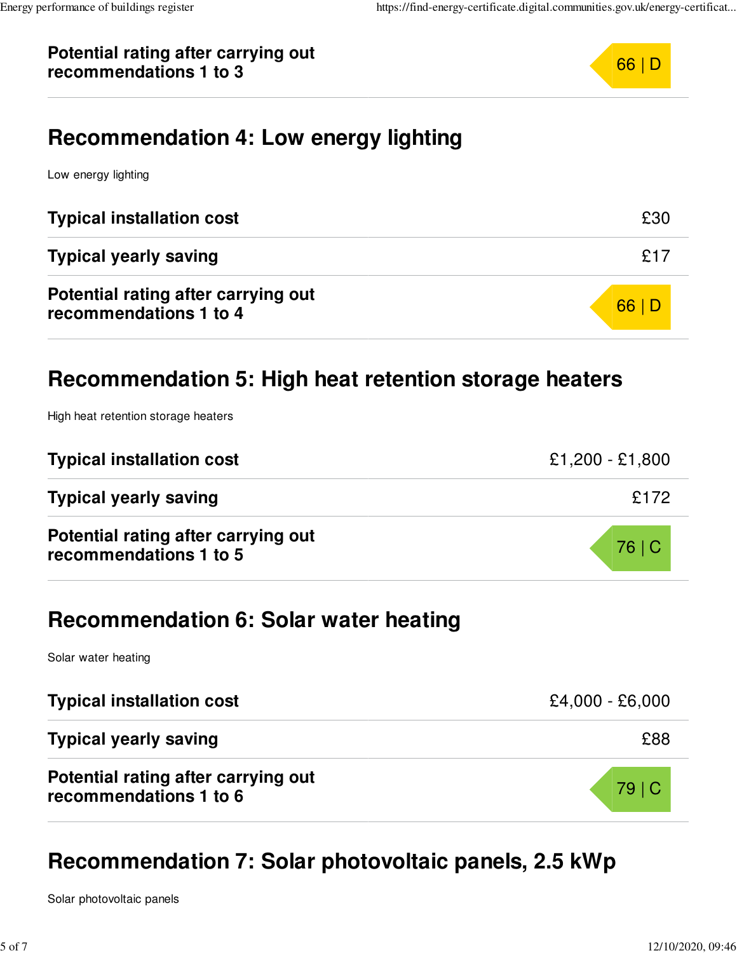#### **Potential rating after carrying out** recommendations 1 to 3



### **Recommendation 4: Low energy lighting**

Low energy lighting

| <b>Typical installation cost</b>                              | £30  |
|---------------------------------------------------------------|------|
| <b>Typical yearly saving</b>                                  | £17  |
| Potential rating after carrying out<br>recommendations 1 to 4 | 66 D |

### **Recommendation 5: High heat retention storage heaters**

High heat retention storage heaters

| <b>Typical installation cost</b>                              | $£1,200 - £1,800$ |
|---------------------------------------------------------------|-------------------|
| <b>Typical yearly saving</b>                                  | £172              |
| Potential rating after carrying out<br>recommendations 1 to 5 | 76   C            |

### **Recommendation 6: Solar water heating**

Solar water heating

| <b>Typical installation cost</b>                              | $£4,000 - £6,000$ |
|---------------------------------------------------------------|-------------------|
| <b>Typical yearly saving</b>                                  | £88               |
| Potential rating after carrying out<br>recommendations 1 to 6 | 79 C              |

### **Recommendation 7: Solar photovoltaic panels, 2.5 kWp**

Solar photovoltaic panels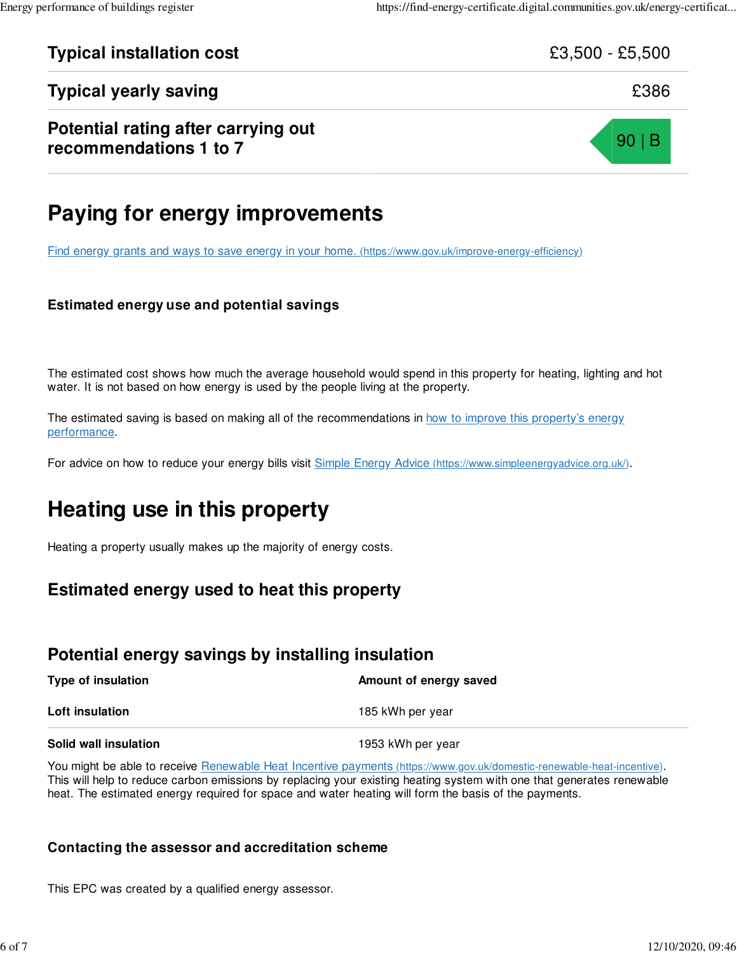## **Typical installation cost**  $\text{E3,500 - } £5,500$ **Typical yearly saving EXPERIER SECONDENSITY CONTROLLY AND ALL SECONDENSITY CONTROLLY EXPERIENCE SECONDENSITY OF SECONDENSITY OF SECONDENSITY OF SECONDENSITY OF SECONDENSITY OF SECONDENSITY OF SECONDENSITY OF SECONDENSITY Potential rating after carrying out** recommendations 1 to 7 and 7 90 | B

### **Paying for energy improvements**

Find energy grants and ways to save energy in your home. (https://www.gov.uk/improve-energy-efficiency)

#### **Estimated energy use and potential savings**

The estimated cost shows how much the average household would spend in this property for heating, lighting and hot water. It is not based on how energy is used by the people living at the property.

The estimated saving is based on making all of the recommendations in how to improve this property's energy performance.

For advice on how to reduce your energy bills visit Simple Energy Advice (https://www.simpleenergyadvice.org.uk/).

### **Heating use in this property**

Heating a property usually makes up the majority of energy costs.

#### **Estimated energy used to heat this property**

#### **Potential energy savings by installing insulation**

| Type of insulation    | Amount of energy saved |
|-----------------------|------------------------|
| Loft insulation       | 185 kWh per year       |
| Solid wall insulation | 1953 kWh per year      |

You might be able to receive Renewable Heat Incentive payments (https://www.gov.uk/domestic-renewable-heat-incentive). This will help to reduce carbon emissions by replacing your existing heating system with one that generates renewable heat. The estimated energy required for space and water heating will form the basis of the payments.

#### **Contacting the assessor and accreditation scheme**

This EPC was created by a qualified energy assessor.